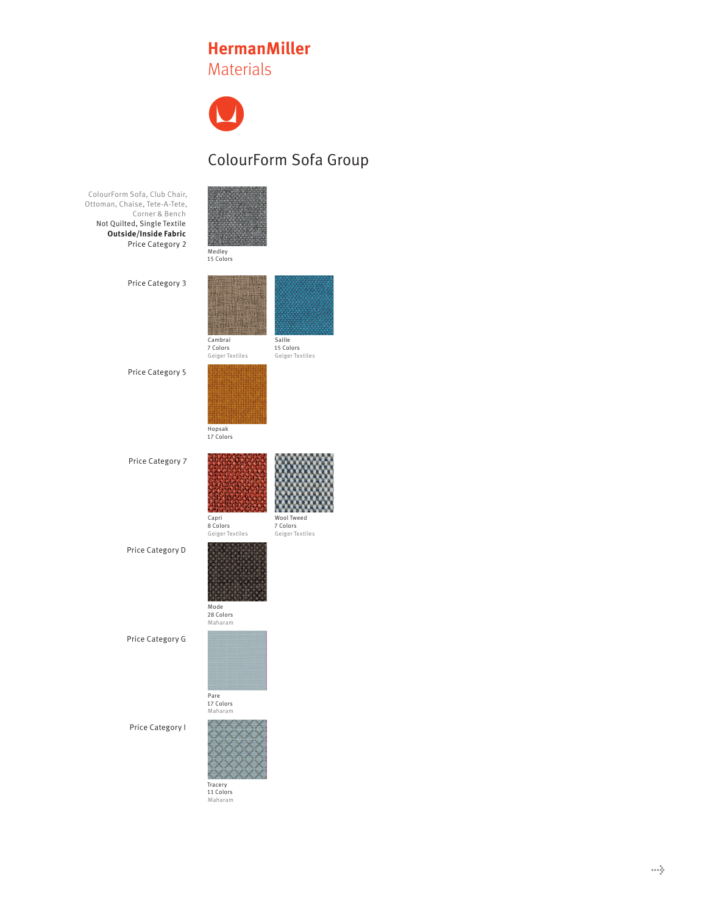## **HermanMiller** Materials



## ColourForm Sofa Group

| ColourForm Sofa, Club Chair,<br>Ottoman, Chaise, Tete-A-Tete,<br>Corner & Bench<br>Not Quilted, Single Textile<br>Outside/Inside Fabric<br>Price Category 2 | Medley<br>15 Colors                    |                                           |
|-------------------------------------------------------------------------------------------------------------------------------------------------------------|----------------------------------------|-------------------------------------------|
| Price Category 3                                                                                                                                            | Cambrai<br>7 Colors<br>Geiger Textiles | Saille<br>15 Colors<br>Geiger Textiles    |
| Price Category 5                                                                                                                                            | Hopsak<br>17 Colors                    |                                           |
| Price Category 7                                                                                                                                            | Capri<br>8 Colors<br>Geiger Textiles   | Wool Tweed<br>7 Colors<br>Geiger Textiles |
| Price Category D                                                                                                                                            | Mode<br>28 Colors<br>Maharam           |                                           |
| Price Category G                                                                                                                                            | 17 Colors<br>Maharam                   |                                           |
| Price Category I                                                                                                                                            | Tracery<br>11 Colors<br>Maharam        |                                           |